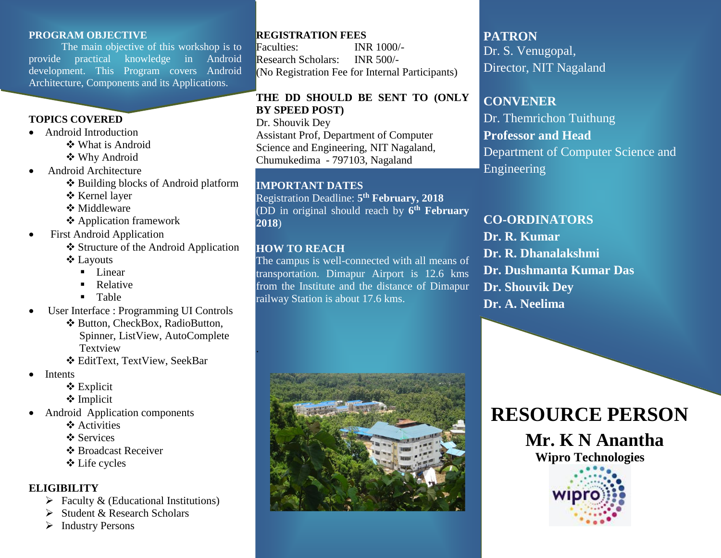### **PROGRAM OBJECTIVE**

The main objective of this workshop is to provide practical knowledge in Android development. This Program covers Android Architecture, Components and its Applications.

### **TOPICS COVERED**

- Android Introduction
	- **❖ What is Android**
	- Why Android
- Android Architecture
	- Building blocks of Android platform
	- Kernel layer
	- **❖ Middleware**
	- Application framework
- First Android Application
	- ❖ Structure of the Android Application Layouts
		- **Linear**
		- **Relative**
		- **Table**
- User Interface : Programming UI Controls
	- ❖ Button, CheckBox, RadioButton, Spinner, ListView, AutoComplete Textview
	- EditText, TextView, SeekBar
- Intents
	- Explicit
	- **❖** Implicit
- Android Application components
	- ❖ Activities
	- ❖ Services
	- **❖ Broadcast Receiver**
	- Life cycles

### **ELIGIBILITY**

- $\triangleright$  Faculty & (Educational Institutions)
- Student & Research Scholars
- > Industry Persons

# **REGISTRATION FEES**

Faculties: INR 1000/- Research Scholars: INR 500/- (No Registration Fee for Internal Participants)

### **THE DD SHOULD BE SENT TO (ONLY BY SPEED POST)**

Dr. Shouvik Dey Assistant Prof, Department of Computer Science and Engineering, NIT Nagaland, Chumukedima - 797103, Nagaland

### **IMPORTANT DATES**

Registration Deadline: **5 th February, 2018** (DD in original should reach by **6 th February 2018**)

### **HOW TO REACH**

.

The campus is well-connected with all means of transportation. Dimapur Airport is 12.6 kms from the Institute and the distance of Dimapur railway Station is about 17.6 kms.



# **PATRON** Dr. S. Venugopal,

Director, NIT Nagaland

# **CONVENER**

Dr. Themrichon Tuithung **Professor and Head** Department of Computer Science and Engineering

# **CO-ORDINATORS**

**Dr. R. Kumar Dr. R. Dhanalakshmi Dr. Dushmanta Kumar Das Dr. Shouvik Dey Dr. A. Neelima**

# **RESOURCE PERSON**

 **Mr. K N Anantha Wipro Technologies**